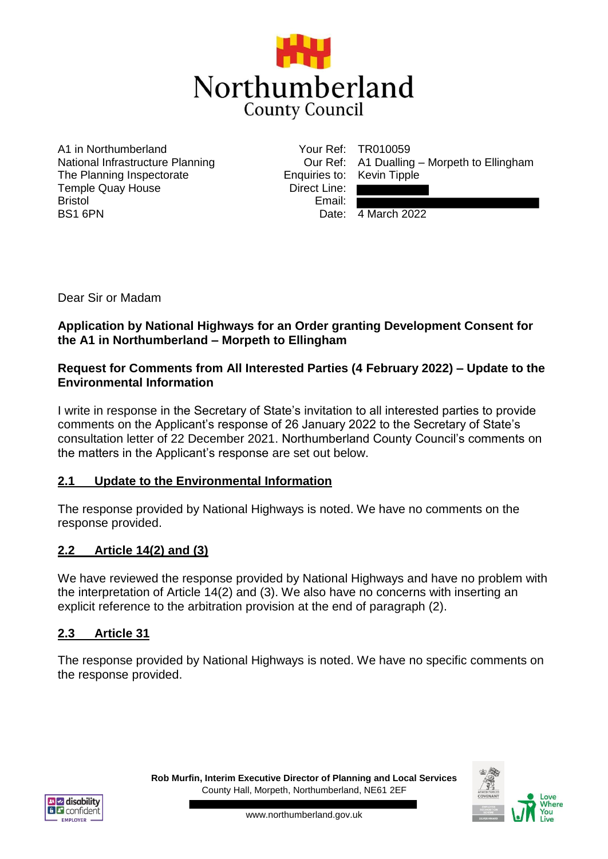

A1 in Northumberland National Infrastructure Planning The Planning Inspectorate Temple Quay House Bristol BS1 6PN

Enquiries to: Kevin Tipple Direct Line: Email:

Your Ref: TR010059 Our Ref: A1 Dualling – Morpeth to Ellingham

Date: 4 March 2022

Dear Sir or Madam

#### **Application by National Highways for an Order granting Development Consent for the A1 in Northumberland – Morpeth to Ellingham**

#### **Request for Comments from All Interested Parties (4 February 2022) – Update to the Environmental Information**

I write in response in the Secretary of State's invitation to all interested parties to provide comments on the Applicant's response of 26 January 2022 to the Secretary of State's consultation letter of 22 December 2021. Northumberland County Council's comments on the matters in the Applicant's response are set out below.

### **2.1 Update to the Environmental Information**

The response provided by National Highways is noted. We have no comments on the response provided.

### **2.2 Article 14(2) and (3)**

We have reviewed the response provided by National Highways and have no problem with the interpretation of Article 14(2) and (3). We also have no concerns with inserting an explicit reference to the arbitration provision at the end of paragraph (2).

### **2.3 Article 31**

The response provided by National Highways is noted. We have no specific comments on the response provided.



**Rob Murfin, Interim Executive Director of Planning and Local Services** County Hall, Morpeth, Northumberland, NE61 2EF

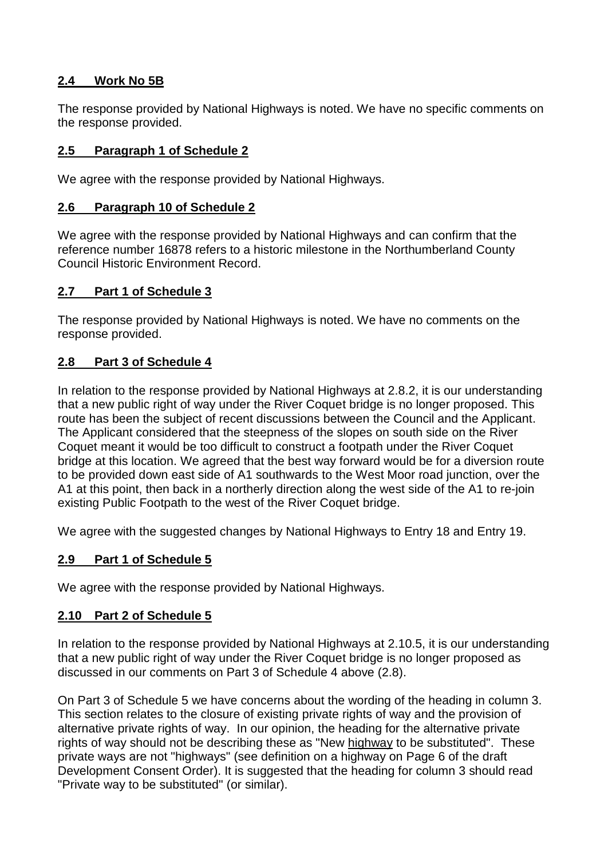## **2.4 Work No 5B**

The response provided by National Highways is noted. We have no specific comments on the response provided.

# **2.5 Paragraph 1 of Schedule 2**

We agree with the response provided by National Highways.

## **2.6 Paragraph 10 of Schedule 2**

We agree with the response provided by National Highways and can confirm that the reference number 16878 refers to a historic milestone in the Northumberland County Council Historic Environment Record.

### **2.7 Part 1 of Schedule 3**

The response provided by National Highways is noted. We have no comments on the response provided.

# **2.8 Part 3 of Schedule 4**

In relation to the response provided by National Highways at 2.8.2, it is our understanding that a new public right of way under the River Coquet bridge is no longer proposed. This route has been the subject of recent discussions between the Council and the Applicant. The Applicant considered that the steepness of the slopes on south side on the River Coquet meant it would be too difficult to construct a footpath under the River Coquet bridge at this location. We agreed that the best way forward would be for a diversion route to be provided down east side of A1 southwards to the West Moor road junction, over the A1 at this point, then back in a northerly direction along the west side of the A1 to re-join existing Public Footpath to the west of the River Coquet bridge.

We agree with the suggested changes by National Highways to Entry 18 and Entry 19.

### **2.9 Part 1 of Schedule 5**

We agree with the response provided by National Highways.

### **2.10 Part 2 of Schedule 5**

In relation to the response provided by National Highways at 2.10.5, it is our understanding that a new public right of way under the River Coquet bridge is no longer proposed as discussed in our comments on Part 3 of Schedule 4 above (2.8).

On Part 3 of Schedule 5 we have concerns about the wording of the heading in column 3. This section relates to the closure of existing private rights of way and the provision of alternative private rights of way. In our opinion, the heading for the alternative private rights of way should not be describing these as "New highway to be substituted". These private ways are not "highways" (see definition on a highway on Page 6 of the draft Development Consent Order). It is suggested that the heading for column 3 should read "Private way to be substituted" (or similar).